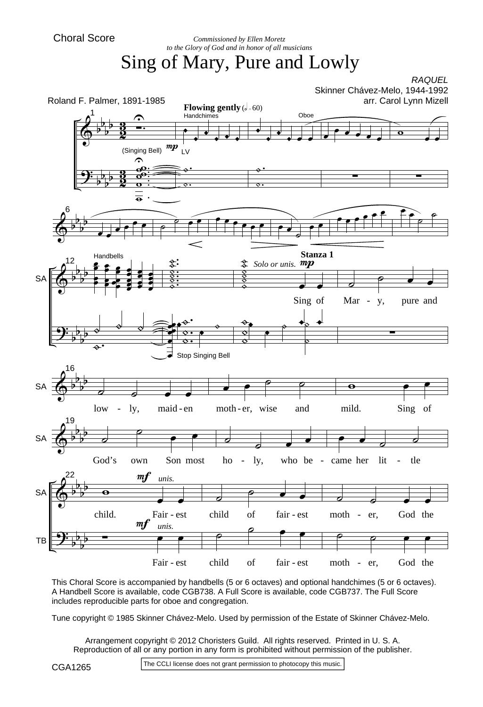*Commissioned by Ellen Moretz to the Glory of God and in honor of all musicians*

## Sing of Mary, Pure and Lowly



This Choral Score is accompanied by handbells (5 or 6 octaves) and optional handchimes (5 or 6 octaves). A Handbell Score is available, code CGB738. A Full Score is available, code CGB737. The Full Score includes reproducible parts for oboe and congregation.

Tune copyright © 1985 Skinner Chávez-Melo. Used by permission of the Estate of Skinner Chávez-Melo.

Arrangement copyright © 2012 Choristers Guild. All rights reserved. Printed in U. S. A. Reproduction of all or any portion in any form is prohibited without permission of the publisher.

CGA1265

The CCLI license does not grant permission to photocopy this music.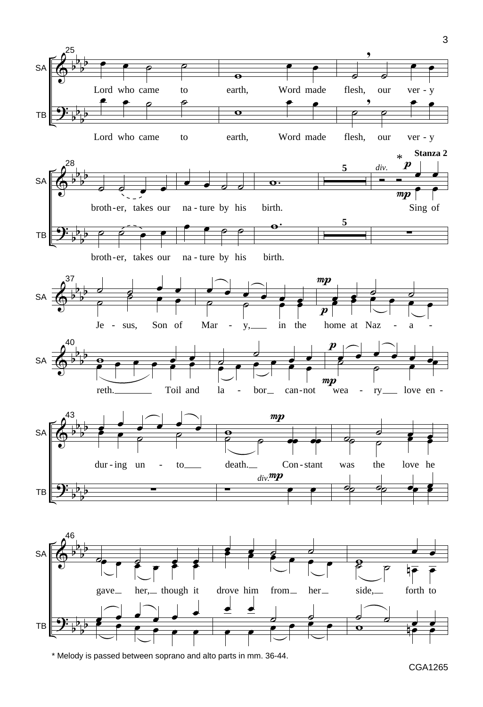